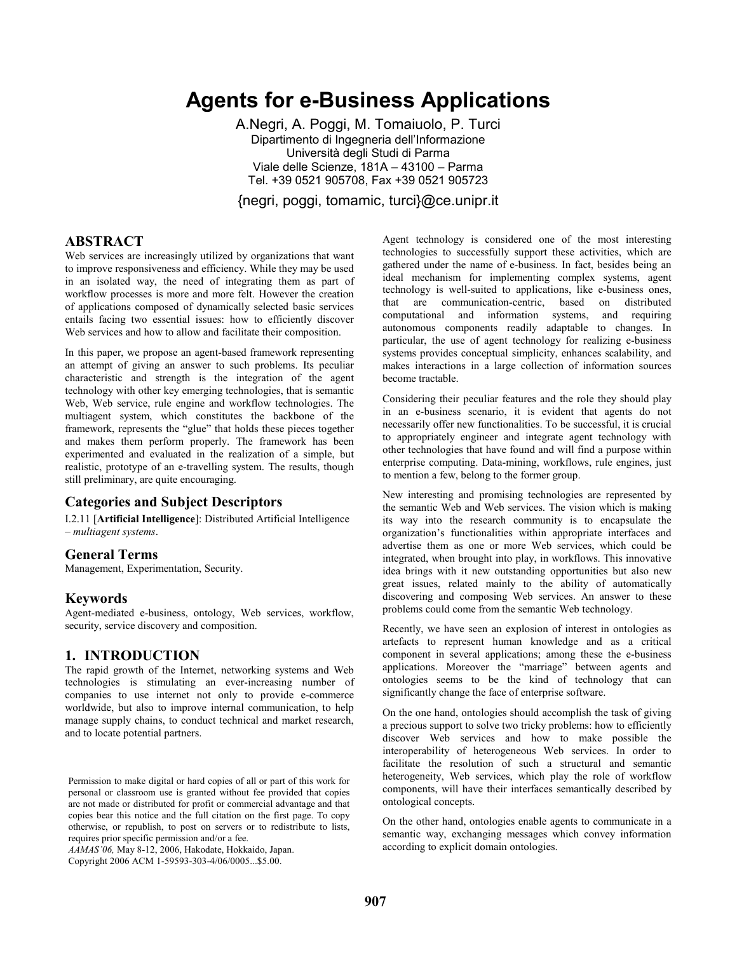# **Agents for e-Business Applications**

A.Negri, A. Poggi, M. Tomaiuolo, P. Turci Dipartimento di Ingegneria dell'Informazione Università degli Studi di Parma Viale delle Scienze, 181A – 43100 – Parma Tel. +39 0521 905708, Fax +39 0521 905723

{negri, poggi, tomamic, turci}@ce.unipr.it

# **ABSTRACT**

Web services are increasingly utilized by organizations that want to improve responsiveness and efficiency. While they may be used in an isolated way, the need of integrating them as part of workflow processes is more and more felt. However the creation of applications composed of dynamically selected basic services entails facing two essential issues: how to efficiently discover Web services and how to allow and facilitate their composition.

In this paper, we propose an agent-based framework representing an attempt of giving an answer to such problems. Its peculiar characteristic and strength is the integration of the agent technology with other key emerging technologies, that is semantic Web, Web service, rule engine and workflow technologies. The multiagent system, which constitutes the backbone of the framework, represents the "glue" that holds these pieces together and makes them perform properly. The framework has been experimented and evaluated in the realization of a simple, but realistic, prototype of an e-travelling system. The results, though still preliminary, are quite encouraging.

#### **Categories and Subject Descriptors**

I.2.11 [**Artificial Intelligence**]: Distributed Artificial Intelligence – *multiagent systems*.

#### **General Terms**

Management, Experimentation, Security.

### **Keywords**

Agent-mediated e-business, ontology, Web services, workflow, security, service discovery and composition.

## **1. INTRODUCTION**

The rapid growth of the Internet, networking systems and Web technologies is stimulating an ever-increasing number of companies to use internet not only to provide e-commerce worldwide, but also to improve internal communication, to help manage supply chains, to conduct technical and market research, and to locate potential partners.

Permission to make digital or hard copies of all or part of this work for personal or classroom use is granted without fee provided that copies are not made or distributed for profit or commercial advantage and that copies bear this notice and the full citation on the first page. To copy otherwise, or republish, to post on servers or to redistribute to lists, requires prior specific permission and/or a fee.

*AAMAS'06,* May 8-12, 2006, Hakodate, Hokkaido, Japan.

Copyright 2006 ACM 1-59593-303-4/06/0005...\$5.00.

Agent technology is considered one of the most interesting technologies to successfully support these activities, which are gathered under the name of e-business. In fact, besides being an ideal mechanism for implementing complex systems, agent technology is well-suited to applications, like e-business ones, that are communication-centric, based on distributed computational and information systems, and requiring autonomous components readily adaptable to changes. In particular, the use of agent technology for realizing e-business systems provides conceptual simplicity, enhances scalability, and makes interactions in a large collection of information sources become tractable.

Considering their peculiar features and the role they should play in an e-business scenario, it is evident that agents do not necessarily offer new functionalities. To be successful, it is crucial to appropriately engineer and integrate agent technology with other technologies that have found and will find a purpose within enterprise computing. Data-mining, workflows, rule engines, just to mention a few, belong to the former group.

New interesting and promising technologies are represented by the semantic Web and Web services. The vision which is making its way into the research community is to encapsulate the organization's functionalities within appropriate interfaces and advertise them as one or more Web services, which could be integrated, when brought into play, in workflows. This innovative idea brings with it new outstanding opportunities but also new great issues, related mainly to the ability of automatically discovering and composing Web services. An answer to these problems could come from the semantic Web technology.

Recently, we have seen an explosion of interest in ontologies as artefacts to represent human knowledge and as a critical component in several applications; among these the e-business applications. Moreover the "marriage" between agents and ontologies seems to be the kind of technology that can significantly change the face of enterprise software.

On the one hand, ontologies should accomplish the task of giving a precious support to solve two tricky problems: how to efficiently discover Web services and how to make possible the interoperability of heterogeneous Web services. In order to facilitate the resolution of such a structural and semantic heterogeneity, Web services, which play the role of workflow components, will have their interfaces semantically described by ontological concepts.

On the other hand, ontologies enable agents to communicate in a semantic way, exchanging messages which convey information according to explicit domain ontologies.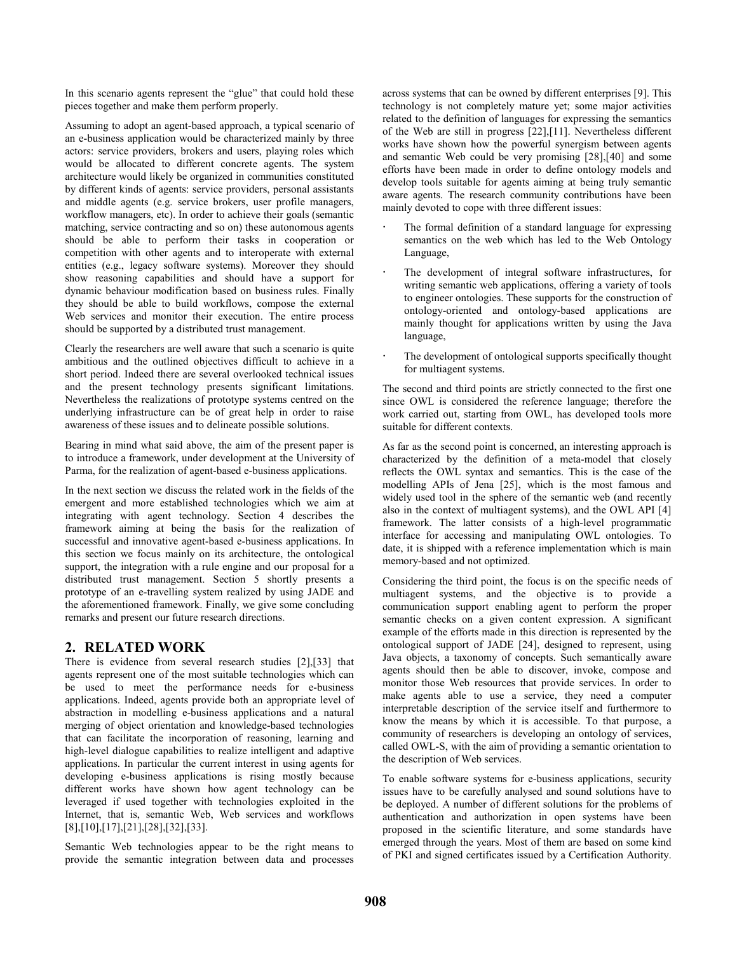In this scenario agents represent the "glue" that could hold these pieces together and make them perform properly.

Assuming to adopt an agent-based approach, a typical scenario of an e-business application would be characterized mainly by three actors: service providers, brokers and users, playing roles which would be allocated to different concrete agents. The system architecture would likely be organized in communities constituted by different kinds of agents: service providers, personal assistants and middle agents (e.g. service brokers, user profile managers, workflow managers, etc). In order to achieve their goals (semantic matching, service contracting and so on) these autonomous agents should be able to perform their tasks in cooperation or competition with other agents and to interoperate with external entities (e.g., legacy software systems). Moreover they should show reasoning capabilities and should have a support for dynamic behaviour modification based on business rules. Finally they should be able to build workflows, compose the external Web services and monitor their execution. The entire process should be supported by a distributed trust management.

Clearly the researchers are well aware that such a scenario is quite ambitious and the outlined objectives difficult to achieve in a short period. Indeed there are several overlooked technical issues and the present technology presents significant limitations. Nevertheless the realizations of prototype systems centred on the underlying infrastructure can be of great help in order to raise awareness of these issues and to delineate possible solutions.

Bearing in mind what said above, the aim of the present paper is to introduce a framework, under development at the University of Parma, for the realization of agent-based e-business applications.

In the next section we discuss the related work in the fields of the emergent and more established technologies which we aim at integrating with agent technology. Section 4 describes the framework aiming at being the basis for the realization of successful and innovative agent-based e-business applications. In this section we focus mainly on its architecture, the ontological support, the integration with a rule engine and our proposal for a distributed trust management. Section 5 shortly presents a prototype of an e-travelling system realized by using JADE and the aforementioned framework. Finally, we give some concluding remarks and present our future research directions.

## **2. RELATED WORK**

There is evidence from several research studies [2],[33] that agents represent one of the most suitable technologies which can be used to meet the performance needs for e-business applications. Indeed, agents provide both an appropriate level of abstraction in modelling e-business applications and a natural merging of object orientation and knowledge-based technologies that can facilitate the incorporation of reasoning, learning and high-level dialogue capabilities to realize intelligent and adaptive applications. In particular the current interest in using agents for developing e-business applications is rising mostly because different works have shown how agent technology can be leveraged if used together with technologies exploited in the Internet, that is, semantic Web, Web services and workflows [8],[10],[17],[21],[28],[32],[33].

Semantic Web technologies appear to be the right means to provide the semantic integration between data and processes across systems that can be owned by different enterprises [9]. This technology is not completely mature yet; some major activities related to the definition of languages for expressing the semantics of the Web are still in progress [22],[11]. Nevertheless different works have shown how the powerful synergism between agents and semantic Web could be very promising [28],[40] and some efforts have been made in order to define ontology models and develop tools suitable for agents aiming at being truly semantic aware agents. The research community contributions have been mainly devoted to cope with three different issues:

- The formal definition of a standard language for expressing semantics on the web which has led to the Web Ontology Language,
- The development of integral software infrastructures, for writing semantic web applications, offering a variety of tools to engineer ontologies. These supports for the construction of ontology-oriented and ontology-based applications are mainly thought for applications written by using the Java language,
- The development of ontological supports specifically thought for multiagent systems.

The second and third points are strictly connected to the first one since OWL is considered the reference language; therefore the work carried out, starting from OWL, has developed tools more suitable for different contexts.

As far as the second point is concerned, an interesting approach is characterized by the definition of a meta-model that closely reflects the OWL syntax and semantics. This is the case of the modelling APIs of Jena [25], which is the most famous and widely used tool in the sphere of the semantic web (and recently also in the context of multiagent systems), and the OWL API [4] framework. The latter consists of a high-level programmatic interface for accessing and manipulating OWL ontologies. To date, it is shipped with a reference implementation which is main memory-based and not optimized.

Considering the third point, the focus is on the specific needs of multiagent systems, and the objective is to provide a communication support enabling agent to perform the proper semantic checks on a given content expression. A significant example of the efforts made in this direction is represented by the ontological support of JADE [24], designed to represent, using Java objects, a taxonomy of concepts. Such semantically aware agents should then be able to discover, invoke, compose and monitor those Web resources that provide services. In order to make agents able to use a service, they need a computer interpretable description of the service itself and furthermore to know the means by which it is accessible. To that purpose, a community of researchers is developing an ontology of services, called OWL-S, with the aim of providing a semantic orientation to the description of Web services.

To enable software systems for e-business applications, security issues have to be carefully analysed and sound solutions have to be deployed. A number of different solutions for the problems of authentication and authorization in open systems have been proposed in the scientific literature, and some standards have emerged through the years. Most of them are based on some kind of PKI and signed certificates issued by a Certification Authority.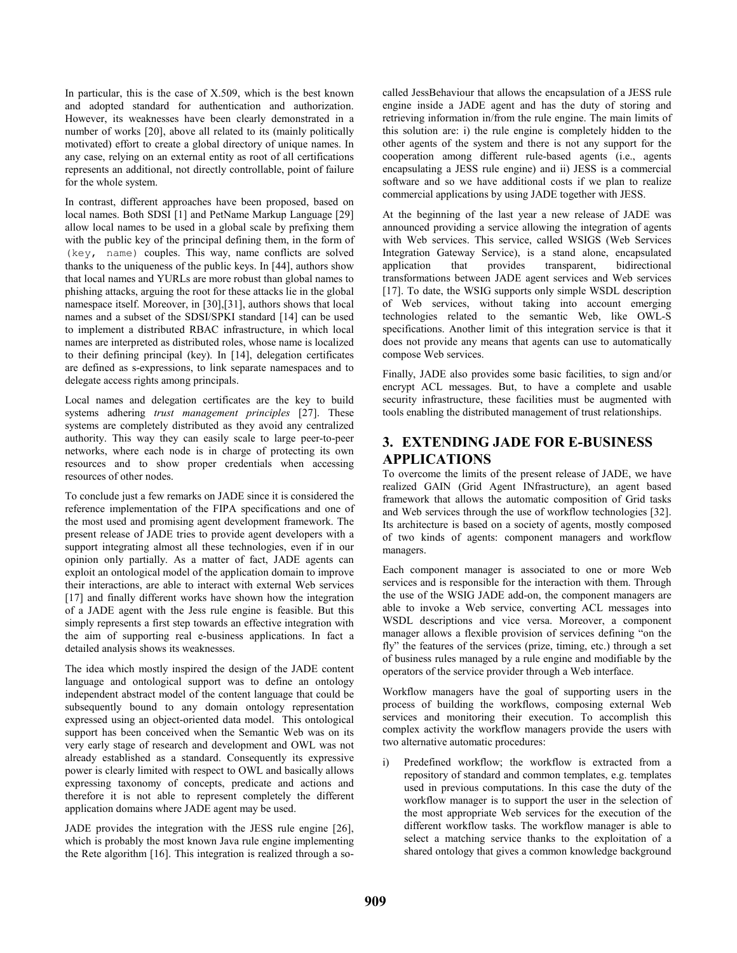In particular, this is the case of  $X.509$ , which is the best known and adopted standard for authentication and authorization. However, its weaknesses have been clearly demonstrated in a number of works [20], above all related to its (mainly politically motivated) effort to create a global directory of unique names. In any case, relying on an external entity as root of all certifications represents an additional, not directly controllable, point of failure for the whole system.

In contrast, different approaches have been proposed, based on local names. Both SDSI [1] and PetName Markup Language [29] allow local names to be used in a global scale by prefixing them with the public key of the principal defining them, in the form of (key, name) couples. This way, name conflicts are solved thanks to the uniqueness of the public keys. In [44], authors show that local names and YURLs are more robust than global names to phishing attacks, arguing the root for these attacks lie in the global namespace itself. Moreover, in [30],[31], authors shows that local names and a subset of the SDSI/SPKI standard [14] can be used to implement a distributed RBAC infrastructure, in which local names are interpreted as distributed roles, whose name is localized to their defining principal (key). In [14], delegation certificates are defined as s-expressions, to link separate namespaces and to delegate access rights among principals.

Local names and delegation certificates are the key to build systems adhering *trust management principles* [27]. These systems are completely distributed as they avoid any centralized authority. This way they can easily scale to large peer-to-peer networks, where each node is in charge of protecting its own resources and to show proper credentials when accessing resources of other nodes.

To conclude just a few remarks on JADE since it is considered the reference implementation of the FIPA specifications and one of the most used and promising agent development framework. The present release of JADE tries to provide agent developers with a support integrating almost all these technologies, even if in our opinion only partially. As a matter of fact, JADE agents can exploit an ontological model of the application domain to improve their interactions, are able to interact with external Web services [17] and finally different works have shown how the integration of a JADE agent with the Jess rule engine is feasible. But this simply represents a first step towards an effective integration with the aim of supporting real e-business applications. In fact a detailed analysis shows its weaknesses.

The idea which mostly inspired the design of the JADE content language and ontological support was to define an ontology independent abstract model of the content language that could be subsequently bound to any domain ontology representation expressed using an object-oriented data model. This ontological support has been conceived when the Semantic Web was on its very early stage of research and development and OWL was not already established as a standard. Consequently its expressive power is clearly limited with respect to OWL and basically allows expressing taxonomy of concepts, predicate and actions and therefore it is not able to represent completely the different application domains where JADE agent may be used.

JADE provides the integration with the JESS rule engine [26], which is probably the most known Java rule engine implementing the Rete algorithm [16]. This integration is realized through a socalled JessBehaviour that allows the encapsulation of a JESS rule engine inside a JADE agent and has the duty of storing and retrieving information in/from the rule engine. The main limits of this solution are: i) the rule engine is completely hidden to the other agents of the system and there is not any support for the cooperation among different rule-based agents (i.e., agents encapsulating a JESS rule engine) and ii) JESS is a commercial software and so we have additional costs if we plan to realize commercial applications by using JADE together with JESS.

At the beginning of the last year a new release of JADE was announced providing a service allowing the integration of agents with Web services. This service, called WSIGS (Web Services Integration Gateway Service), is a stand alone, encapsulated application that provides transparent, bidirectional transformations between JADE agent services and Web services [17]. To date, the WSIG supports only simple WSDL description of Web services, without taking into account emerging technologies related to the semantic Web, like OWL-S specifications. Another limit of this integration service is that it does not provide any means that agents can use to automatically compose Web services.

Finally, JADE also provides some basic facilities, to sign and/or encrypt ACL messages. But, to have a complete and usable security infrastructure, these facilities must be augmented with tools enabling the distributed management of trust relationships.

# **3. EXTENDING JADE FOR E-BUSINESS APPLICATIONS**

To overcome the limits of the present release of JADE, we have realized GAIN (Grid Agent INfrastructure), an agent based framework that allows the automatic composition of Grid tasks and Web services through the use of workflow technologies [32]. Its architecture is based on a society of agents, mostly composed of two kinds of agents: component managers and workflow managers.

Each component manager is associated to one or more Web services and is responsible for the interaction with them. Through the use of the WSIG JADE add-on, the component managers are able to invoke a Web service, converting ACL messages into WSDL descriptions and vice versa. Moreover, a component manager allows a flexible provision of services defining "on the fly" the features of the services (prize, timing, etc.) through a set of business rules managed by a rule engine and modifiable by the operators of the service provider through a Web interface.

Workflow managers have the goal of supporting users in the process of building the workflows, composing external Web services and monitoring their execution. To accomplish this complex activity the workflow managers provide the users with two alternative automatic procedures:

Predefined workflow; the workflow is extracted from a repository of standard and common templates, e.g. templates used in previous computations. In this case the duty of the workflow manager is to support the user in the selection of the most appropriate Web services for the execution of the different workflow tasks. The workflow manager is able to select a matching service thanks to the exploitation of a shared ontology that gives a common knowledge background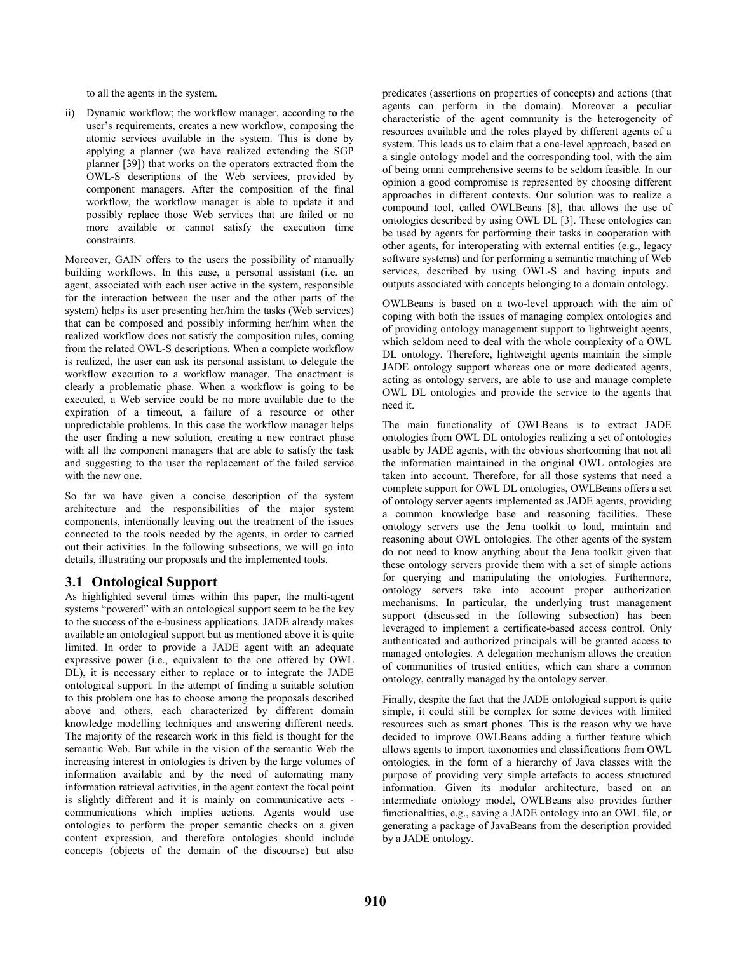to all the agents in the system.

ii) Dynamic workflow; the workflow manager, according to the user's requirements, creates a new workflow, composing the atomic services available in the system. This is done by applying a planner (we have realized extending the SGP planner [39]) that works on the operators extracted from the OWL-S descriptions of the Web services, provided by component managers. After the composition of the final workflow, the workflow manager is able to update it and possibly replace those Web services that are failed or no more available or cannot satisfy the execution time constraints.

Moreover, GAIN offers to the users the possibility of manually building workflows. In this case, a personal assistant (i.e. an agent, associated with each user active in the system, responsible for the interaction between the user and the other parts of the system) helps its user presenting her/him the tasks (Web services) that can be composed and possibly informing her/him when the realized workflow does not satisfy the composition rules, coming from the related OWL-S descriptions. When a complete workflow is realized, the user can ask its personal assistant to delegate the workflow execution to a workflow manager. The enactment is clearly a problematic phase. When a workflow is going to be executed, a Web service could be no more available due to the expiration of a timeout, a failure of a resource or other unpredictable problems. In this case the workflow manager helps the user finding a new solution, creating a new contract phase with all the component managers that are able to satisfy the task and suggesting to the user the replacement of the failed service with the new one.

So far we have given a concise description of the system architecture and the responsibilities of the major system components, intentionally leaving out the treatment of the issues connected to the tools needed by the agents, in order to carried out their activities. In the following subsections, we will go into details, illustrating our proposals and the implemented tools.

# **3.1 Ontological Support**

As highlighted several times within this paper, the multi-agent systems "powered" with an ontological support seem to be the key to the success of the e-business applications. JADE already makes available an ontological support but as mentioned above it is quite limited. In order to provide a JADE agent with an adequate expressive power (i.e., equivalent to the one offered by OWL DL), it is necessary either to replace or to integrate the JADE ontological support. In the attempt of finding a suitable solution to this problem one has to choose among the proposals described above and others, each characterized by different domain knowledge modelling techniques and answering different needs. The majority of the research work in this field is thought for the semantic Web. But while in the vision of the semantic Web the increasing interest in ontologies is driven by the large volumes of information available and by the need of automating many information retrieval activities, in the agent context the focal point is slightly different and it is mainly on communicative acts communications which implies actions. Agents would use ontologies to perform the proper semantic checks on a given content expression, and therefore ontologies should include concepts (objects of the domain of the discourse) but also predicates (assertions on properties of concepts) and actions (that agents can perform in the domain). Moreover a peculiar characteristic of the agent community is the heterogeneity of resources available and the roles played by different agents of a system. This leads us to claim that a one-level approach, based on a single ontology model and the corresponding tool, with the aim of being omni comprehensive seems to be seldom feasible. In our opinion a good compromise is represented by choosing different approaches in different contexts. Our solution was to realize a compound tool, called OWLBeans [8], that allows the use of ontologies described by using OWL DL [3]. These ontologies can be used by agents for performing their tasks in cooperation with other agents, for interoperating with external entities (e.g., legacy software systems) and for performing a semantic matching of Web services, described by using OWL-S and having inputs and outputs associated with concepts belonging to a domain ontology.

OWLBeans is based on a two-level approach with the aim of coping with both the issues of managing complex ontologies and of providing ontology management support to lightweight agents, which seldom need to deal with the whole complexity of a OWL DL ontology. Therefore, lightweight agents maintain the simple JADE ontology support whereas one or more dedicated agents, acting as ontology servers, are able to use and manage complete OWL DL ontologies and provide the service to the agents that need it.

The main functionality of OWLBeans is to extract JADE ontologies from OWL DL ontologies realizing a set of ontologies usable by JADE agents, with the obvious shortcoming that not all the information maintained in the original OWL ontologies are taken into account. Therefore, for all those systems that need a complete support for OWL DL ontologies, OWLBeans offers a set of ontology server agents implemented as JADE agents, providing a common knowledge base and reasoning facilities. These ontology servers use the Jena toolkit to load, maintain and reasoning about OWL ontologies. The other agents of the system do not need to know anything about the Jena toolkit given that these ontology servers provide them with a set of simple actions for querying and manipulating the ontologies. Furthermore, ontology servers take into account proper authorization mechanisms. In particular, the underlying trust management support (discussed in the following subsection) has been leveraged to implement a certificate-based access control. Only authenticated and authorized principals will be granted access to managed ontologies. A delegation mechanism allows the creation of communities of trusted entities, which can share a common ontology, centrally managed by the ontology server.

Finally, despite the fact that the JADE ontological support is quite simple, it could still be complex for some devices with limited resources such as smart phones. This is the reason why we have decided to improve OWLBeans adding a further feature which allows agents to import taxonomies and classifications from OWL ontologies, in the form of a hierarchy of Java classes with the purpose of providing very simple artefacts to access structured information. Given its modular architecture, based on an intermediate ontology model, OWLBeans also provides further functionalities, e.g., saving a JADE ontology into an OWL file, or generating a package of JavaBeans from the description provided by a JADE ontology.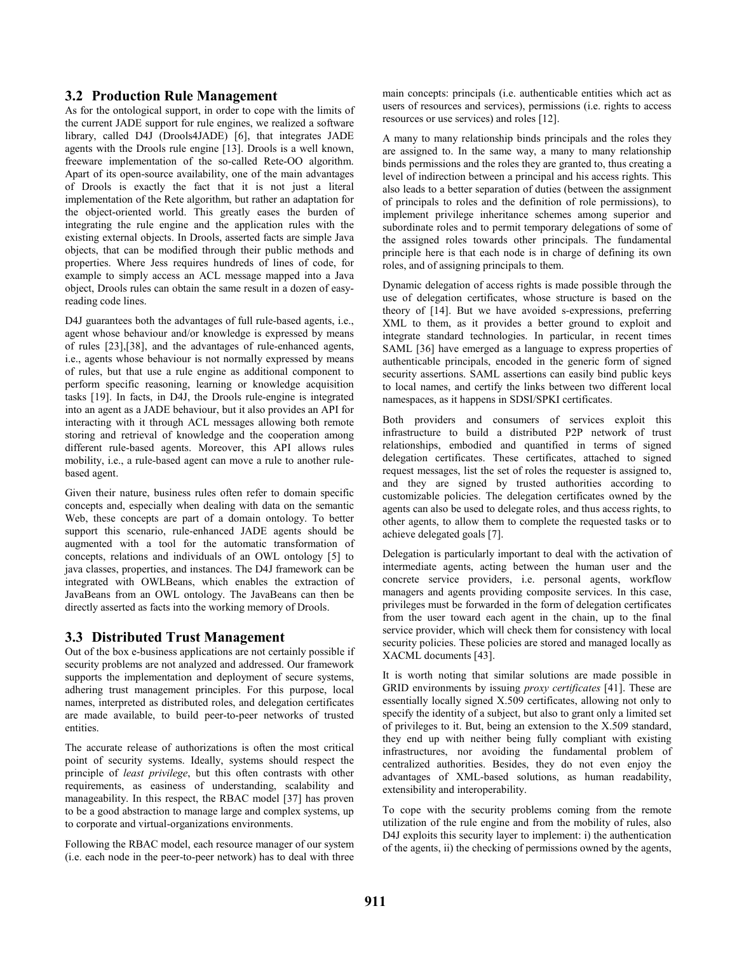## **3.2 Production Rule Management**

As for the ontological support, in order to cope with the limits of the current JADE support for rule engines, we realized a software library, called D4J (Drools4JADE) [6], that integrates JADE agents with the Drools rule engine [13]. Drools is a well known, freeware implementation of the so-called Rete-OO algorithm. Apart of its open-source availability, one of the main advantages of Drools is exactly the fact that it is not just a literal implementation of the Rete algorithm, but rather an adaptation for the object-oriented world. This greatly eases the burden of integrating the rule engine and the application rules with the existing external objects. In Drools, asserted facts are simple Java objects, that can be modified through their public methods and properties. Where Jess requires hundreds of lines of code, for example to simply access an ACL message mapped into a Java object, Drools rules can obtain the same result in a dozen of easyreading code lines.

D4J guarantees both the advantages of full rule-based agents, i.e., agent whose behaviour and/or knowledge is expressed by means of rules [23],[38], and the advantages of rule-enhanced agents, i.e., agents whose behaviour is not normally expressed by means of rules, but that use a rule engine as additional component to perform specific reasoning, learning or knowledge acquisition tasks [19]. In facts, in D4J, the Drools rule-engine is integrated into an agent as a JADE behaviour, but it also provides an API for interacting with it through ACL messages allowing both remote storing and retrieval of knowledge and the cooperation among different rule-based agents. Moreover, this API allows rules mobility, i.e., a rule-based agent can move a rule to another rulebased agent.

Given their nature, business rules often refer to domain specific concepts and, especially when dealing with data on the semantic Web, these concepts are part of a domain ontology. To better support this scenario, rule-enhanced JADE agents should be augmented with a tool for the automatic transformation of concepts, relations and individuals of an OWL ontology [5] to java classes, properties, and instances. The D4J framework can be integrated with OWLBeans, which enables the extraction of JavaBeans from an OWL ontology. The JavaBeans can then be directly asserted as facts into the working memory of Drools.

#### **3.3 Distributed Trust Management**

Out of the box e-business applications are not certainly possible if security problems are not analyzed and addressed. Our framework supports the implementation and deployment of secure systems, adhering trust management principles. For this purpose, local names, interpreted as distributed roles, and delegation certificates are made available, to build peer-to-peer networks of trusted entities.

The accurate release of authorizations is often the most critical point of security systems. Ideally, systems should respect the principle of *least privilege*, but this often contrasts with other requirements, as easiness of understanding, scalability and manageability. In this respect, the RBAC model [37] has proven to be a good abstraction to manage large and complex systems, up to corporate and virtual-organizations environments.

Following the RBAC model, each resource manager of our system (i.e. each node in the peer-to-peer network) has to deal with three main concepts: principals (i.e. authenticable entities which act as users of resources and services), permissions (i.e. rights to access resources or use services) and roles [12].

A many to many relationship binds principals and the roles they are assigned to. In the same way, a many to many relationship binds permissions and the roles they are granted to, thus creating a level of indirection between a principal and his access rights. This also leads to a better separation of duties (between the assignment of principals to roles and the definition of role permissions), to implement privilege inheritance schemes among superior and subordinate roles and to permit temporary delegations of some of the assigned roles towards other principals. The fundamental principle here is that each node is in charge of defining its own roles, and of assigning principals to them.

Dynamic delegation of access rights is made possible through the use of delegation certificates, whose structure is based on the theory of [14]. But we have avoided s-expressions, preferring XML to them, as it provides a better ground to exploit and integrate standard technologies. In particular, in recent times SAML [36] have emerged as a language to express properties of authenticable principals, encoded in the generic form of signed security assertions. SAML assertions can easily bind public keys to local names, and certify the links between two different local namespaces, as it happens in SDSI/SPKI certificates.

Both providers and consumers of services exploit this infrastructure to build a distributed P2P network of trust relationships, embodied and quantified in terms of signed delegation certificates. These certificates, attached to signed request messages, list the set of roles the requester is assigned to, and they are signed by trusted authorities according to customizable policies. The delegation certificates owned by the agents can also be used to delegate roles, and thus access rights, to other agents, to allow them to complete the requested tasks or to achieve delegated goals [7].

Delegation is particularly important to deal with the activation of intermediate agents, acting between the human user and the concrete service providers, i.e. personal agents, workflow managers and agents providing composite services. In this case, privileges must be forwarded in the form of delegation certificates from the user toward each agent in the chain, up to the final service provider, which will check them for consistency with local security policies. These policies are stored and managed locally as XACML documents [43].

It is worth noting that similar solutions are made possible in GRID environments by issuing *proxy certificates* [41]. These are essentially locally signed X.509 certificates, allowing not only to specify the identity of a subject, but also to grant only a limited set of privileges to it. But, being an extension to the X.509 standard, they end up with neither being fully compliant with existing infrastructures, nor avoiding the fundamental problem of centralized authorities. Besides, they do not even enjoy the advantages of XML-based solutions, as human readability, extensibility and interoperability.

To cope with the security problems coming from the remote utilization of the rule engine and from the mobility of rules, also D4J exploits this security layer to implement: i) the authentication of the agents, ii) the checking of permissions owned by the agents,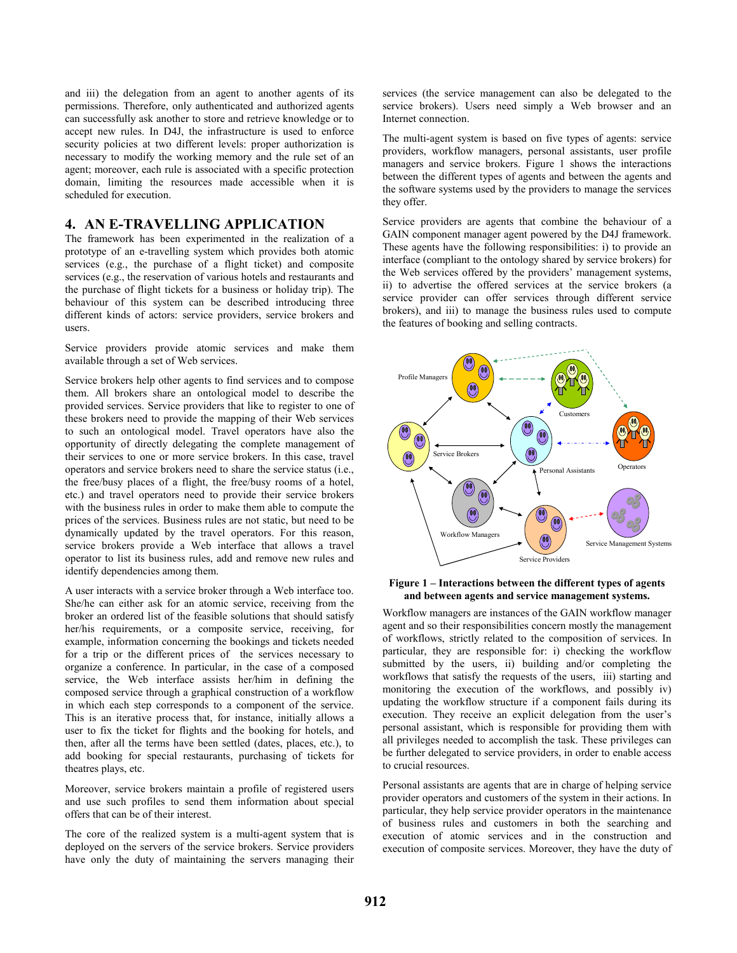and iii) the delegation from an agent to another agents of its permissions. Therefore, only authenticated and authorized agents can successfully ask another to store and retrieve knowledge or to accept new rules. In D4J, the infrastructure is used to enforce security policies at two different levels: proper authorization is necessary to modify the working memory and the rule set of an agent; moreover, each rule is associated with a specific protection domain, limiting the resources made accessible when it is scheduled for execution.

## **4. AN E-TRAVELLING APPLICATION**

The framework has been experimented in the realization of a prototype of an e-travelling system which provides both atomic services (e.g., the purchase of a flight ticket) and composite services (e.g., the reservation of various hotels and restaurants and the purchase of flight tickets for a business or holiday trip). The behaviour of this system can be described introducing three different kinds of actors: service providers, service brokers and users.

Service providers provide atomic services and make them available through a set of Web services.

Service brokers help other agents to find services and to compose them. All brokers share an ontological model to describe the provided services. Service providers that like to register to one of these brokers need to provide the mapping of their Web services to such an ontological model. Travel operators have also the opportunity of directly delegating the complete management of their services to one or more service brokers. In this case, travel operators and service brokers need to share the service status (i.e., the free/busy places of a flight, the free/busy rooms of a hotel, etc.) and travel operators need to provide their service brokers with the business rules in order to make them able to compute the prices of the services. Business rules are not static, but need to be dynamically updated by the travel operators. For this reason, service brokers provide a Web interface that allows a travel operator to list its business rules, add and remove new rules and identify dependencies among them.

A user interacts with a service broker through a Web interface too. She/he can either ask for an atomic service, receiving from the broker an ordered list of the feasible solutions that should satisfy her/his requirements, or a composite service, receiving, for example, information concerning the bookings and tickets needed for a trip or the different prices of the services necessary to organize a conference. In particular, in the case of a composed service, the Web interface assists her/him in defining the composed service through a graphical construction of a workflow in which each step corresponds to a component of the service. This is an iterative process that, for instance, initially allows a user to fix the ticket for flights and the booking for hotels, and then, after all the terms have been settled (dates, places, etc.), to add booking for special restaurants, purchasing of tickets for theatres plays, etc.

Moreover, service brokers maintain a profile of registered users and use such profiles to send them information about special offers that can be of their interest.

The core of the realized system is a multi-agent system that is deployed on the servers of the service brokers. Service providers have only the duty of maintaining the servers managing their services (the service management can also be delegated to the service brokers). Users need simply a Web browser and an Internet connection.

The multi-agent system is based on five types of agents: service providers, workflow managers, personal assistants, user profile managers and service brokers. Figure 1 shows the interactions between the different types of agents and between the agents and the software systems used by the providers to manage the services they offer.

Service providers are agents that combine the behaviour of a GAIN component manager agent powered by the D4J framework. These agents have the following responsibilities: i) to provide an interface (compliant to the ontology shared by service brokers) for the Web services offered by the providers' management systems, ii) to advertise the offered services at the service brokers (a service provider can offer services through different service brokers), and iii) to manage the business rules used to compute the features of booking and selling contracts.



#### **Figure 1 – Interactions between the different types of agents and between agents and service management systems.**

Workflow managers are instances of the GAIN workflow manager agent and so their responsibilities concern mostly the management of workflows, strictly related to the composition of services. In particular, they are responsible for: i) checking the workflow submitted by the users, ii) building and/or completing the workflows that satisfy the requests of the users, iii) starting and monitoring the execution of the workflows, and possibly iv) updating the workflow structure if a component fails during its execution. They receive an explicit delegation from the user's personal assistant, which is responsible for providing them with all privileges needed to accomplish the task. These privileges can be further delegated to service providers, in order to enable access to crucial resources.

Personal assistants are agents that are in charge of helping service provider operators and customers of the system in their actions. In particular, they help service provider operators in the maintenance of business rules and customers in both the searching and execution of atomic services and in the construction and execution of composite services. Moreover, they have the duty of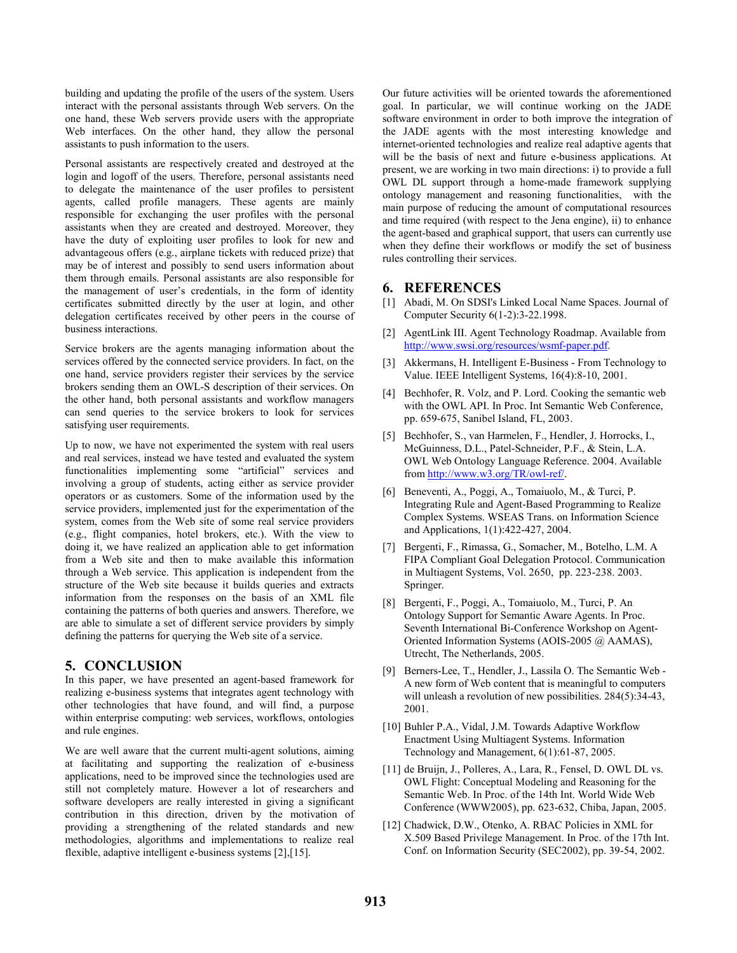building and updating the profile of the users of the system. Users interact with the personal assistants through Web servers. On the one hand, these Web servers provide users with the appropriate Web interfaces. On the other hand, they allow the personal assistants to push information to the users.

Personal assistants are respectively created and destroyed at the login and logoff of the users. Therefore, personal assistants need to delegate the maintenance of the user profiles to persistent agents, called profile managers. These agents are mainly responsible for exchanging the user profiles with the personal assistants when they are created and destroyed. Moreover, they have the duty of exploiting user profiles to look for new and advantageous offers (e.g., airplane tickets with reduced prize) that may be of interest and possibly to send users information about them through emails. Personal assistants are also responsible for the management of user's credentials, in the form of identity certificates submitted directly by the user at login, and other delegation certificates received by other peers in the course of business interactions.

Service brokers are the agents managing information about the services offered by the connected service providers. In fact, on the one hand, service providers register their services by the service brokers sending them an OWL-S description of their services. On the other hand, both personal assistants and workflow managers can send queries to the service brokers to look for services satisfying user requirements.

Up to now, we have not experimented the system with real users and real services, instead we have tested and evaluated the system functionalities implementing some "artificial" services and involving a group of students, acting either as service provider operators or as customers. Some of the information used by the service providers, implemented just for the experimentation of the system, comes from the Web site of some real service providers (e.g., flight companies, hotel brokers, etc.). With the view to doing it, we have realized an application able to get information from a Web site and then to make available this information through a Web service. This application is independent from the structure of the Web site because it builds queries and extracts information from the responses on the basis of an XML file containing the patterns of both queries and answers. Therefore, we are able to simulate a set of different service providers by simply defining the patterns for querying the Web site of a service.

# **5. CONCLUSION**

In this paper, we have presented an agent-based framework for realizing e-business systems that integrates agent technology with other technologies that have found, and will find, a purpose within enterprise computing: web services, workflows, ontologies and rule engines.

We are well aware that the current multi-agent solutions, aiming at facilitating and supporting the realization of e-business applications, need to be improved since the technologies used are still not completely mature. However a lot of researchers and software developers are really interested in giving a significant contribution in this direction, driven by the motivation of providing a strengthening of the related standards and new methodologies, algorithms and implementations to realize real flexible, adaptive intelligent e-business systems [2],[15].

Our future activities will be oriented towards the aforementioned goal. In particular, we will continue working on the JADE software environment in order to both improve the integration of the JADE agents with the most interesting knowledge and internet-oriented technologies and realize real adaptive agents that will be the basis of next and future e-business applications. At present, we are working in two main directions: i) to provide a full OWL DL support through a home-made framework supplying ontology management and reasoning functionalities, with the main purpose of reducing the amount of computational resources and time required (with respect to the Jena engine), ii) to enhance the agent-based and graphical support, that users can currently use when they define their workflows or modify the set of business rules controlling their services.

# **6. REFERENCES**

- [1] Abadi, M. On SDSI's Linked Local Name Spaces. Journal of Computer Security 6(1-2):3-22.1998.
- [2] AgentLink III. Agent Technology Roadmap. Available from http://www.swsi.org/resources/wsmf-paper.pdf.
- [3] Akkermans, H. Intelligent E-Business From Technology to Value. IEEE Intelligent Systems, 16(4):8-10, 2001.
- [4] Bechhofer, R. Volz, and P. Lord. Cooking the semantic web with the OWL API. In Proc. Int Semantic Web Conference, pp. 659-675, Sanibel Island, FL, 2003.
- [5] Bechhofer, S., van Harmelen, F., Hendler, J. Horrocks, I., McGuinness, D.L., Patel-Schneider, P.F., & Stein, L.A. OWL Web Ontology Language Reference. 2004. Available from http://www.w3.org/TR/owl-ref/.
- [6] Beneventi, A., Poggi, A., Tomaiuolo, M., & Turci, P. Integrating Rule and Agent-Based Programming to Realize Complex Systems. WSEAS Trans. on Information Science and Applications, 1(1):422-427, 2004.
- [7] Bergenti, F., Rimassa, G., Somacher, M., Botelho, L.M. A FIPA Compliant Goal Delegation Protocol. Communication in Multiagent Systems, Vol. 2650, pp. 223-238. 2003. Springer.
- [8] Bergenti, F., Poggi, A., Tomaiuolo, M., Turci, P. An Ontology Support for Semantic Aware Agents. In Proc. Seventh International Bi-Conference Workshop on Agent-Oriented Information Systems (AOIS-2005 @ AAMAS), Utrecht, The Netherlands, 2005.
- [9] Berners-Lee, T., Hendler, J., Lassila O. The Semantic Web A new form of Web content that is meaningful to computers will unleash a revolution of new possibilities.  $284(5)$ : 34-43, 2001.
- [10] Buhler P.A., Vidal, J.M. Towards Adaptive Workflow Enactment Using Multiagent Systems. Information Technology and Management, 6(1):61-87, 2005.
- [11] de Bruijn, J., Polleres, A., Lara, R., Fensel, D. OWL DL vs. OWL Flight: Conceptual Modeling and Reasoning for the Semantic Web. In Proc. of the 14th Int. World Wide Web Conference (WWW2005), pp. 623-632, Chiba, Japan, 2005.
- [12] Chadwick, D.W., Otenko, A. RBAC Policies in XML for X.509 Based Privilege Management. In Proc. of the 17th Int. Conf. on Information Security (SEC2002), pp. 39-54, 2002.